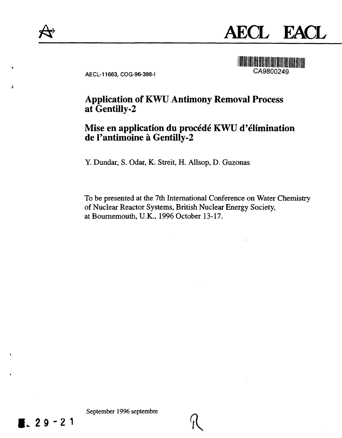



AECL-11663, COG-96-398-I CA9800249

# **Application of KWU Antimony Removal Process at Gentilly-2**

# **Mise en application du procede KWU d'elimination de l'antimoine a Gentilly-2**

Y. Dundar, S. Odar, K. Streit, H. Allsop, D. Guzonas

To be presented at the 7th International Conference on Water Chemistry of Nuclear Reactor Systems, British Nuclear Energy Society, at Bournemouth, U.K., 1996 October 13-17.

September 1996 septembre

**I.2 9 -2 1**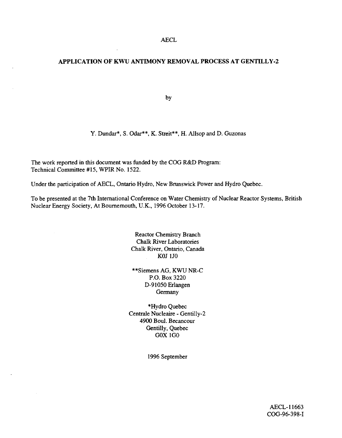### **APPLICATION OF KWU ANTIMONY REMOVAL PROCESS AT GENTILLY-2**

by

Y. Dundar\*, S. Odar\*\*, K. Streit\*\*, H. Allsop and D. Guzonas

The work reported in this document was funded by the COG R&D Program: Technical Committee #15, WPIR No. 1522.

Under the participation of AECL, Ontario Hydro, New Brunswick Power and Hydro Quebec.

To be presented at the 7th International Conference on Water Chemistry of Nuclear Reactor Systems, British Nuclear Energy Society, At Bournemouth, U.K., 1996 October 13-17.

> Reactor Chemistry Branch Chalk River Laboratories Chalk River, Ontario, Canada KOJ 1J0

\*\*Siemens AG, KWU NR-C P.O. Box 3220 D-91050Erlangen Germany

\*Hydro Quebec Centrale Nucleaire - Gentilly-2 4900 Boul. Becancour Gentilly, Quebec G0X1G0

1996 September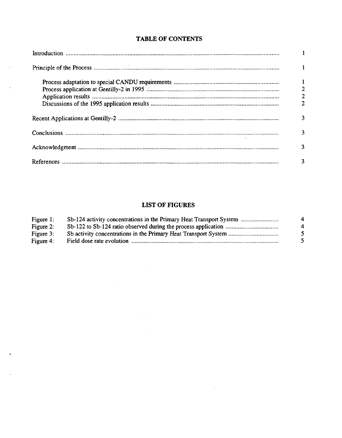| $\blacksquare$                                  |
|-------------------------------------------------|
|                                                 |
| $\begin{array}{c} 1 \\ 2 \\ 2 \\ 2 \end{array}$ |
| 3                                               |
| 3                                               |
| 3                                               |
| 3                                               |

## **TABLE OF CONTENTS**

 $\bar{z}$ 

J.

 $\sim$ 

## **LIST OF FIGURES**

| Figure 1: | Sb-124 activity concentrations in the Primary Heat Transport System | 4 |
|-----------|---------------------------------------------------------------------|---|
| Figure 2: |                                                                     | 4 |
| Figure 3: |                                                                     |   |
| Figure 4: |                                                                     |   |

 $\sim$   $\mu$ 

 $\Delta \phi = 0.01$  and  $\Delta \phi = 0.01$ 

 $\sim 10$ 

 $\sim 10^{-10}$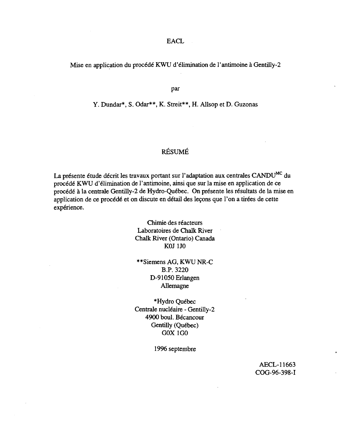## EACL

### Mise en application du procédé KWU d'élimination de l'antimoine à Gentilly-2

par

### Y. Dundar\*, S. Odar\*\*, K. Streit\*\*, H. Allsop et D. Guzonas

## RESUME

La présente étude décrit les travaux portant sur l'adaptation aux centrales CANDU<sup>MC</sup> du procede KWU d'elimination de l'antimoine, ainsi que sur la mise en application de ce procédé à la centrale Gentilly-2 de Hydro-Québec. On présente les résultats de la mise en application de ce procédé et on discute en détail des leçons que l'on a tirées de cette expérience.

> Chimie des reacteurs Laboratoires de Chalk River Chalk River (Ontario) Canada KOJ 1J0

\*\*Siemens AG, KWU NR-C B.P. 3220 D-91050Erlangen Allemagne

\*Hydro Québec Centrale nucléaire - Gentilly-2 4900 boul. Bécancour Gentilly (Québec) G0X1G0

1996 septembre

AECL-11663 COG-96-398-I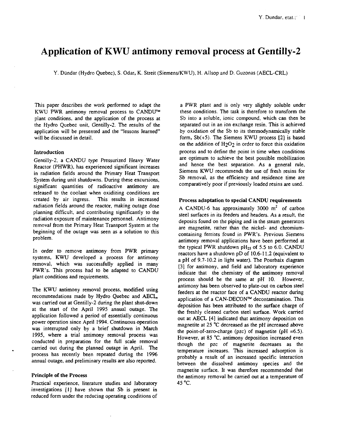# **Application of KWU antimony removal process at Gentilly-2**

Y. Diindar (Hydro Quebec), S. Odar, K. Streit (Siemens/KWU), H. Allsop and D. Guzonas (AECL-CRL)

This paper describes the work performed to adapt the KWU PWR antimony removal process to CANDU™ plant conditions, and the application of the process at the Hydro Quebec unit, Gentilly-2. The results of the application will be presented and the "lessons learned" will be discussed in detail.

#### **Introduction**

Gentilly-2, a CANDU type Pressurized Heavy Water Reactor (PHWR), has experienced significant increases in radiation fields around the Primary Heat Transport System during unit shutdowns. During these excursions, significant quantities of radioactive antimony are released to the coolant when oxidizing conditions are created by air ingress. This results in increased radiation fields around the reactor, making outage dose planning difficult, and contributing significantly to the radiation exposure of maintenance personnel. Antimony removal from the Primary Heat Transport System at the beginning of the outage was seen as a solution to this problem.

In order to remove antimony from PWR primary systems, KWU developed a process for antimony removal, which was successfully applied in many PWR's. This process had to be adapted to CANDU plant conditions and requirements.

The KWU antimony removal process, modified using recommendations made by Hydro Quebec and AECL, was carried out at Gentilly-2 during the plant shut-down at the start of the April 1995 annual outage. The application followed a period of essentially continuous power operation since April 1994. Continuous operation was interrupted only by a brief shutdown in March 1995, where a trial antimony removal process was conducted in preparation for the full scale removal carried out during the planned outage in April. The process has recently been repeated during the 1996 annual outage, and preliminary results are also reported.

#### **Principle of the Process**

Practical experience, literature studies and laboratory investigations [1] have shown that Sb is present in reduced form under the reducing operating conditions of

a PWR plant and is only very slightly soluble under these conditions. The task is therefore to transform the Sb into a soluble, ionic compound, which can then be separated out in an ion exchange resin. This is achieved by oxidation of the Sb to its thermodynamically stable form, Sb(+5). The Siemens KWU process [2] is based on the addition of  $H_2O_2$  in order to force this oxidation process and to define the point in time when conditions are optimum to achieve the best possible mobilization and hence the best separation. As a general rule, Siemens KWU recommends the use of fresh resins for Sb removal, as the efficiency and residence time are comparatively poor if previously loaded resins are used.

#### Process **adaptation to special CANDU requirements**

A CANDU-6 has approximately 3000 m<sup>2</sup> of carbon steel surfaces in its feeders and headers. As a result, the deposits found on the piping and in the steam generators are magnetite, rather than the nickel- and chromiumcontaining ferrites found in PWR's. Previous Siemens antimony removal applications have been performed at the typical PWR shutdown  $pH_{25}$  of 5.5 to 6.0. CANDU reactors have a shutdown pD of 10.6-11.2 (equivalent to a pH of 9.7-10.2 in light water). The Pourbaix diagram [3] for antimony, and field and laboratory experience indicate that the chemistry of the antimony removal process should be the same at pH 10. However, antimony has been observed to plate-out on carbon steel feeders at the reactor face of a CANDU reactor during application of a CAN-DECON™ decontamination. This deposition has been attributed to the surface charge of the freshly cleaned carbon steel surface. Work carried out at AECL [4] indicated that antimony deposition on magnetite at 25 °C decreased as the pH increased above the point-of-zero-charge (pzc) of magnetite (pH =6.5). However, at 85 °C, antimony deposition increased even though the pzc of magnetite decreases as the temperature increases. This increased adsorption is probably a result of an increased specific interaction between the dissolved antimony species and the magnetite surface. It was therefore recommended that the antimony removal be carried out at a temperature of 45 $^{\circ}$ C.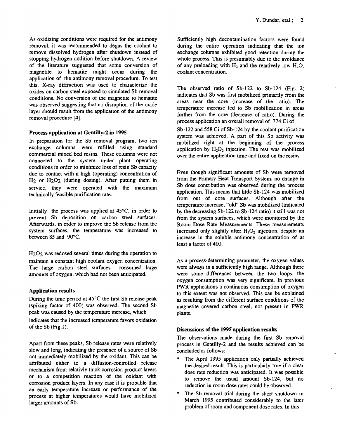As oxidizing conditions were required for the antimony removal, it was recommended to degas the coolant to remove dissolved hydrogen after shutdown instead of stopping hydrogen addition before shutdown. A review of the literature suggested that some conversion of magnetite to hematite might occur during the application of the antimony removal procedure. To test this, X-ray diffraction was used to characterize the oxides on carbon steel exposed to simulated Sb removal conditions. No conversion of the magnetite to hematite was observed suggesting that no disruption of the oxide layer should result from the application of the antimony removal procedure [4].

#### Process **application at Gentilly-2 in 1995**

In preparation for the Sb removal program, two ion exchange columns were refilled using standard commercial mixed bed resins. These columns were not connected to the system under plant operating conditions in order to minimize loss of resin Sb capacity due to contact with a high (operating) concentration of H<sub>2</sub> or H<sub>2</sub>O<sub>2</sub> (during dosing). After putting them in service, they were operated with the maximum technically feasible purification rate.

Initially the process was applied at  $45^{\circ}$ C, in order to prevent Sb deposition on carbon steel surfaces. Afterwards, in order to improve the Sb release from the system surfaces, the temperature was increased to between 85 and 90°C.

H<sub>2</sub>O<sub>2</sub> was redosed several times during the operation to maintain a constant high coolant oxygen concentration. The large carbon steel surfaces consumed large amounts of oxygen, which had not been anticipated.

#### **Application results**

During the time period at  $45^{\circ}$ C the first Sb release peak (spiking factor of 400) was observed. The second Sb peak was caused by the temperature increase, which indicates that the increased temperature favors oxidation of the  $Sb$  (Fig.1).

Apart from these peaks, Sb release rates were relatively slow and long, indicating the presence of a source of Sb not immediately mobilized by the oxidant. This can be attributed either to a diffusion-controlled release mechanism from relativly thick corrosion product layers or to a competition reaction of the oxidant with corrosion product layers. In any case it is probable that an early temperature increase or performance of the process at higher temperatures would have mobilized larger amounts of Sb.

Sufficiently high decontamination factors were found during the entire operation indicating that the ion exchange columns exhibited good retention during the whole process. This is presumably due to the avoidance of any preloading with  $H_2$  and the relatively low  $H_2O_2$ coolant concentration.

The observed ratio of Sb-122 to Sb-124 (Fig. 2) indicates that Sb was first mobilized primarily from the areas near the core (increase of the ratio). The temperature increase led to Sb mobilization in areas further from the core (decrease of ratio). During the process application an overall removal of 774 Ci of

Sb-122 and 558 Ci of Sb-124 by the coolant purification system was achieved. A part of this Sb activity was mobilized right at the beginning of the process application by  $H_2O_2$  injection. The rest was mobilized over the entire application time and fixed on the resins.

Even though significant amounts of Sb were removed from the Primary Heat Transport System, no change in Sb dose contribution was observed during the process application. This means that little Sb-124 was mobilized from out of core surfaces. Although after the temperature increase, "old" Sb was mobilized (indicated by the decreasing Sb-122 to Sb-124 ratio) it still was not from the system surfaces, which were monitored by the Room Dose Rate Measurements. These measurements increased only slightly after  $H_2O_2$  injection, despite an increase in the soluble antimony concentration of at least a factor of 400.

As a process-determining parameter, the oxygen values were always in a sufficiently high range. Although there were some differences between the two loops, the oxygen consumption was very significant. In previous PWR applications a continuous consumption of oxygen to this extent was not observed. This can be explained as resulting from the different surface conditions of the magnetite covered carbon steel, not present in PWR plants.

#### **Discussions of the 1995 application results**

The observations made during the first Sb removal process in Gentilly-2 and the results achieved can be concluded as follows:

- The April 1995 application only partially achieved the desired result. This is particularly true if a clear dose rate reduction was anticipated. It was possible to remove the usual amount Sb-124, but no reduction in room dose rates could be observed.
- The Sb removal trial during the short shutdown in March 1995 contributed considerably to the later problem of room and component dose rates. In this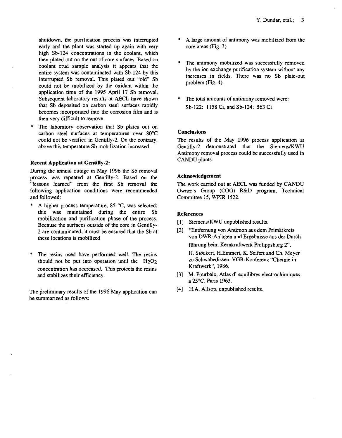shutdown, the purification process was interrupted early and the plant was started up again with very high Sb-124 concentrations in the coolant, which then plated out on the out of core surfaces. Based on coolant crud sample analysis it appears that the entire system was contaminated with Sb-124 by this interrupted Sb removal. This plated out "old" Sb could not be mobilized by the oxidant within the application time of the 1995 April 17 Sb removal. Subsequent laboratory results at AECL have shown that Sb deposited on carbon steel surfaces rapidly becomes incorporated into the corrosion film and is then very difficult to remove.

The laboratory observation that Sb plates out on carbon steel surfaces at temperatures over 80°C could not be verified in Gentilly-2. On the contrary, above this temperature Sb mobilization increased.

#### **Recent Application at Gentilly-2:**

During the annual outage in May 1996 the Sb removal process was repeated at Gentilly-2. Based on the "lessons learned" from the first Sb removal the following application conditions were recommended and followed:

- A higher process temperature,  $85 \text{ °C}$ , was selected; this was maintained during the entire Sb mobilization and purification phase of the process. Because the surfaces outside of the core in Gentilly-2 are contaminated, it must be ensured that the Sb at these locations is mobilized
- The resins used have performed well. The resins should not be put into operation until the  $H<sub>2</sub>O<sub>2</sub>$ concentration has decreased. This protects the resins and stabilizes their efficiency.

The preliminary results of the 1996 May application can be summarized as follows:

- \* A large amount of antimony was mobilized from the core areas (Fig. 3)
- The antimony mobilized was successfully removed by the ion exchange purification system without any increases in fields. There was no Sb plate-out problem (Fig. 4).
- The total amounts of antimony removed were: Sb-122: 1158 Ci, and Sb-124: 563 Ci

#### **Conclusions**

The results of the May 1996 process application at Gentilly-2 demonstrated that the Siemens/KWU Antimony removal process could be successfully used in CANDU plants.

#### **Acknowledgement**

The work carried out at AECL was funded by CANDU Owner's Group (COG) R&D program, Technical Committee 15, WPIR 1522.

#### **References**

- [1] Siemens/KWU unpublished results.
- [2] "Entfernung von Antimon aus dem Primärkreis von DWR-Anlagen und Ergebnisse aus der Durch fiihrung beim Kernkraftwerk Philippsburg 2", H. Stöckert, H.Emmert, K. Seifert and Ch. Meyer zu Schwabedissen, VGB-Konferenz "Chemie in Kraftwerk", 1986.
- [3] M. Pourbaix, Atlas d' equilibres electrochimiques a 25°C, Paris 1963.
- [4] H.A. Allsop, unpublished results.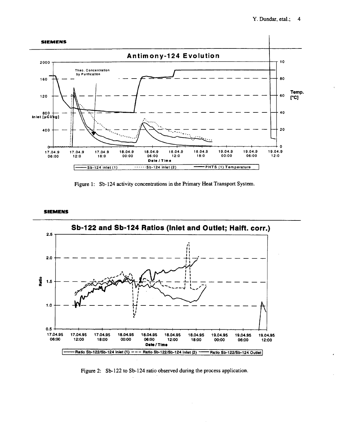

Figure 1: Sb-124 activity concentrations in the Primary Heat Transport System.

**SIEMENS**



Figure 2: Sb-122 to Sb-124 ratio observed during the process application.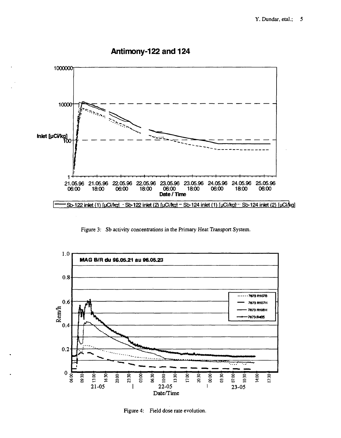

## **Antimony-122 and 124**

Figure 3: Sb activity concentrations in the Primary Heat Transport System.



Figure 4: Field dose rate evolution.